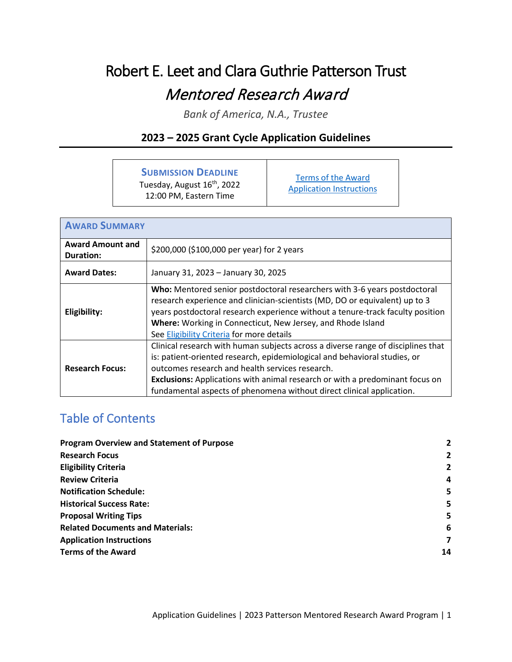# Robert E. Leet and Clara Guthrie Patterson Trust Mentored Research Award

*Bank of America, N.A., Trustee*

# **2023 – 2025 Grant Cycle Application Guidelines**

# **SUBMISSION DEADLINE**

Tuesday, August 16<sup>th</sup>, 2022 12:00 PM, Eastern Time

[Terms of the Award](#page-13-0) [Application Instructions](#page-6-0)

| <b>AWARD SUMMARY</b>                        |                                                                                                                                                                                                                                                                                                                                                                           |  |  |  |
|---------------------------------------------|---------------------------------------------------------------------------------------------------------------------------------------------------------------------------------------------------------------------------------------------------------------------------------------------------------------------------------------------------------------------------|--|--|--|
| <b>Award Amount and</b><br><b>Duration:</b> | \$200,000 (\$100,000 per year) for 2 years                                                                                                                                                                                                                                                                                                                                |  |  |  |
| <b>Award Dates:</b>                         | January 31, 2023 - January 30, 2025                                                                                                                                                                                                                                                                                                                                       |  |  |  |
| Eligibility:                                | Who: Mentored senior postdoctoral researchers with 3-6 years postdoctoral<br>research experience and clinician-scientists (MD, DO or equivalent) up to 3<br>years postdoctoral research experience without a tenure-track faculty position<br>Where: Working in Connecticut, New Jersey, and Rhode Island<br>See Eligibility Criteria for more details                    |  |  |  |
| <b>Research Focus:</b>                      | Clinical research with human subjects across a diverse range of disciplines that<br>is: patient-oriented research, epidemiological and behavioral studies, or<br>outcomes research and health services research.<br>Exclusions: Applications with animal research or with a predominant focus on<br>fundamental aspects of phenomena without direct clinical application. |  |  |  |

# Table of Contents

| <b>Program Overview and Statement of Purpose</b> | $\overline{2}$ |
|--------------------------------------------------|----------------|
| <b>Research Focus</b>                            | 2              |
| <b>Eligibility Criteria</b>                      | $\overline{2}$ |
| <b>Review Criteria</b>                           | 4              |
| <b>Notification Schedule:</b>                    | 5              |
| <b>Historical Success Rate:</b>                  | 5              |
| <b>Proposal Writing Tips</b>                     | 5              |
| <b>Related Documents and Materials:</b>          | 6              |
| <b>Application Instructions</b>                  | 7              |
| <b>Terms of the Award</b>                        | 14             |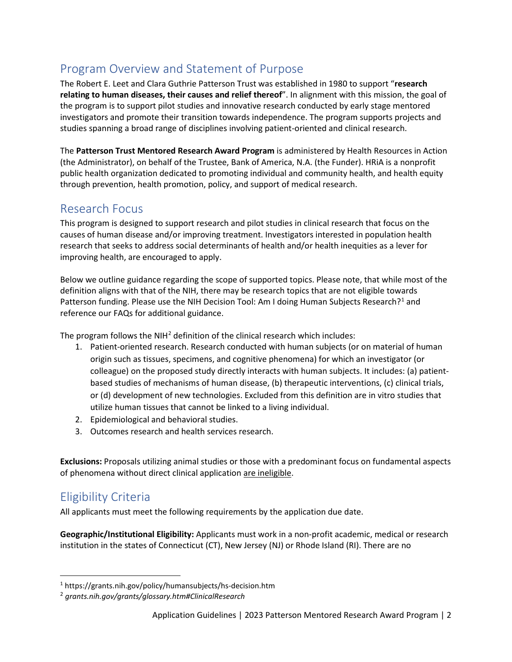# <span id="page-1-1"></span>Program Overview and Statement of Purpose

The Robert E. Leet and Clara Guthrie Patterson Trust was established in 1980 to support "**research relating to human diseases, their causes and relief thereof**". In alignment with this mission, the goal of the program is to support pilot studies and innovative research conducted by early stage mentored investigators and promote their transition towards independence. The program supports projects and studies spanning a broad range of disciplines involving patient-oriented and clinical research.

The **Patterson Trust Mentored Research Award Program** is administered by Health Resources in Action (the Administrator), on behalf of the Trustee, Bank of America, N.A. (the Funder). HRiA is a nonprofit public health organization dedicated to promoting individual and community health, and health equity through prevention, health promotion, policy, and support of medical research.

# <span id="page-1-2"></span>Research Focus

This program is designed to support research and pilot studies in clinical research that focus on the causes of human disease and/or improving treatment. Investigators interested in population health research that seeks to address social determinants of health and/or health inequities as a lever for improving health, are encouraged to apply.

Below we outline guidance regarding the scope of supported topics. Please note, that while most of the definition aligns with that of the NIH, there may be research topics that are not eligible towards Patterson funding. Please use the NIH Decision Tool: Am I doing Human Subjects Research?<sup>[1](#page-1-3)</sup> and reference our FAQs for additional guidance.

The program follows the NIH $^2$  $^2$  definition of the clinical research which includes:

- 1. Patient-oriented research. Research conducted with human subjects (or on material of human origin such as tissues, specimens, and cognitive phenomena) for which an investigator (or colleague) on the proposed study directly interacts with human subjects. It includes: (a) patientbased studies of mechanisms of human disease, (b) therapeutic interventions, (c) clinical trials, or (d) development of new technologies. Excluded from this definition are in vitro studies that utilize human tissues that cannot be linked to a living individual.
- 2. Epidemiological and behavioral studies.
- 3. Outcomes research and health services research.

**Exclusions:** Proposals utilizing animal studies or those with a predominant focus on fundamental aspects of phenomena without direct clinical application are ineligible.

# <span id="page-1-0"></span>Eligibility Criteria

All applicants must meet the following requirements by the application due date.

**Geographic/Institutional Eligibility:** Applicants must work in a non-profit academic, medical or research institution in the states of Connecticut (CT), New Jersey (NJ) or Rhode Island (RI). There are no

<span id="page-1-3"></span><sup>1</sup> https://grants.nih.gov/policy/humansubjects/hs-decision.htm

<span id="page-1-4"></span><sup>2</sup> *grants.nih.gov/grants/glossary.htm#ClinicalResearch*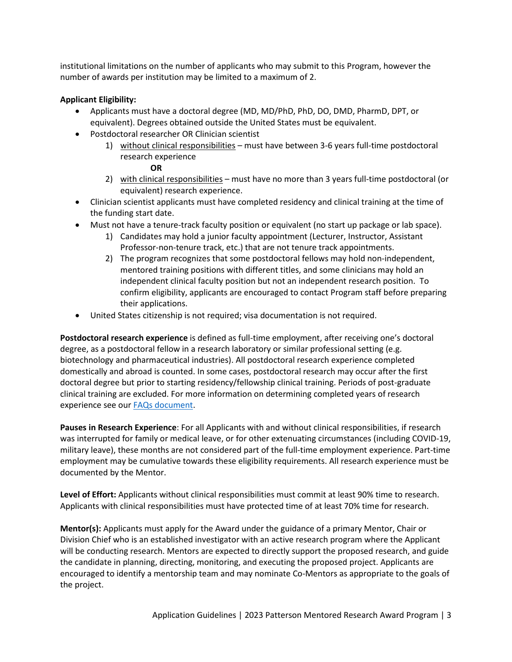institutional limitations on the number of applicants who may submit to this Program, however the number of awards per institution may be limited to a maximum of 2.

### **Applicant Eligibility:**

- Applicants must have a doctoral degree (MD, MD/PhD, PhD, DO, DMD, PharmD, DPT, or equivalent). Degrees obtained outside the United States must be equivalent.
- Postdoctoral researcher OR Clinician scientist
	- 1) without clinical responsibilities must have between 3-6 years full-time postdoctoral research experience

### **OR**

- 2) with clinical responsibilities must have no more than 3 years full-time postdoctoral (or equivalent) research experience.
- Clinician scientist applicants must have completed residency and clinical training at the time of the funding start date.
- Must not have a tenure-track faculty position or equivalent (no start up package or lab space).
	- 1) Candidates may hold a junior faculty appointment (Lecturer, Instructor, Assistant Professor-non-tenure track, etc.) that are not tenure track appointments.
	- 2) The program recognizes that some postdoctoral fellows may hold non-independent, mentored training positions with different titles, and some clinicians may hold an independent clinical faculty position but not an independent research position. To confirm eligibility, applicants are encouraged to contact Program staff before preparing their applications.
- United States citizenship is not required; visa documentation is not required.

**Postdoctoral research experience** is defined as full-time employment, after receiving one's doctoral degree, as a postdoctoral fellow in a research laboratory or similar professional setting (e.g. biotechnology and pharmaceutical industries). All postdoctoral research experience completed domestically and abroad is counted. In some cases, postdoctoral research may occur after the first doctoral degree but prior to starting residency/fellowship clinical training. Periods of post-graduate clinical training are excluded. For more information on determining completed years of research experience see our [FAQs document.](https://hria.org/wp-content/uploads/2021/06/Patterson-Frequently-Asked-Questions-2023-2025.pdf)

**Pauses in Research Experience**: For all Applicants with and without clinical responsibilities, if research was interrupted for family or medical leave, or for other extenuating circumstances (including COVID-19, military leave), these months are not considered part of the full-time employment experience. Part-time employment may be cumulative towards these eligibility requirements. All research experience must be documented by the Mentor.

**Level of Effort:** Applicants without clinical responsibilities must commit at least 90% time to research. Applicants with clinical responsibilities must have protected time of at least 70% time for research.

**Mentor(s):** Applicants must apply for the Award under the guidance of a primary Mentor, Chair or Division Chief who is an established investigator with an active research program where the Applicant will be conducting research. Mentors are expected to directly support the proposed research, and guide the candidate in planning, directing, monitoring, and executing the proposed project. Applicants are encouraged to identify a mentorship team and may nominate Co-Mentors as appropriate to the goals of the project.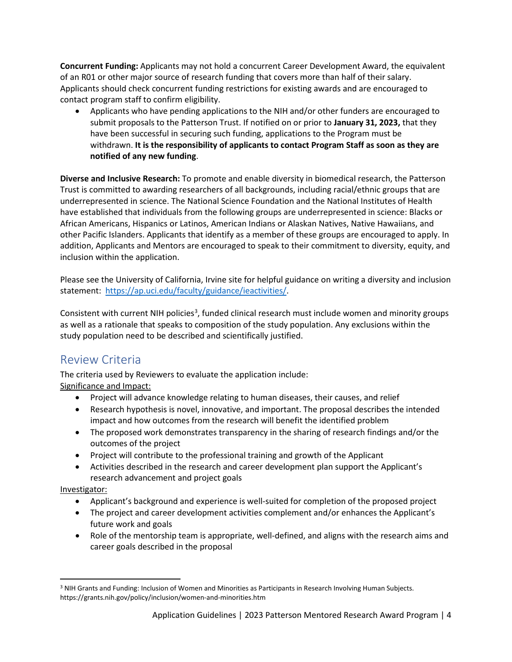**Concurrent Funding:** Applicants may not hold a concurrent Career Development Award, the equivalent of an R01 or other major source of research funding that covers more than half of their salary. Applicants should check concurrent funding restrictions for existing awards and are encouraged to contact program staff to confirm eligibility.

• Applicants who have pending applications to the NIH and/or other funders are encouraged to submit proposals to the Patterson Trust. If notified on or prior to **January 31, 2023,** that they have been successful in securing such funding, applications to the Program must be withdrawn. **It is the responsibility of applicants to contact Program Staff as soon as they are notified of any new funding**.

**Diverse and Inclusive Research:** To promote and enable diversity in biomedical research, the Patterson Trust is committed to awarding researchers of all backgrounds, including racial/ethnic groups that are underrepresented in science. The National Science Foundation and the National Institutes of Health have established that individuals from the following groups are underrepresented in science: Blacks or African Americans, Hispanics or Latinos, American Indians or Alaskan Natives, Native Hawaiians, and other Pacific Islanders. Applicants that identify as a member of these groups are encouraged to apply. In addition, Applicants and Mentors are encouraged to speak to their commitment to diversity, equity, and inclusion within the application.

Please see the University of California, Irvine site for helpful guidance on writing a diversity and inclusion statement: [https://ap.uci.edu/faculty/guidance/ieactivities/.](https://ap.uci.edu/faculty/guidance/ieactivities/)

Consistent with current NIH policies<sup>[3](#page-3-1)</sup>, funded clinical research must include women and minority groups as well as a rationale that speaks to composition of the study population. Any exclusions within the study population need to be described and scientifically justified.

# <span id="page-3-0"></span>Review Criteria

The criteria used by Reviewers to evaluate the application include: Significance and Impact:

- Project will advance knowledge relating to human diseases, their causes, and relief
- Research hypothesis is novel, innovative, and important. The proposal describes the intended impact and how outcomes from the research will benefit the identified problem
- The proposed work demonstrates transparency in the sharing of research findings and/or the outcomes of the project
- Project will contribute to the professional training and growth of the Applicant
- Activities described in the research and career development plan support the Applicant's research advancement and project goals

### Investigator:

- Applicant's background and experience is well-suited for completion of the proposed project
- The project and career development activities complement and/or enhances the Applicant's future work and goals
- Role of the mentorship team is appropriate, well-defined, and aligns with the research aims and career goals described in the proposal

<span id="page-3-1"></span><sup>&</sup>lt;sup>3</sup> NIH Grants and Funding: Inclusion of Women and Minorities as Participants in Research Involving Human Subjects. https://grants.nih.gov/policy/inclusion/women-and-minorities.htm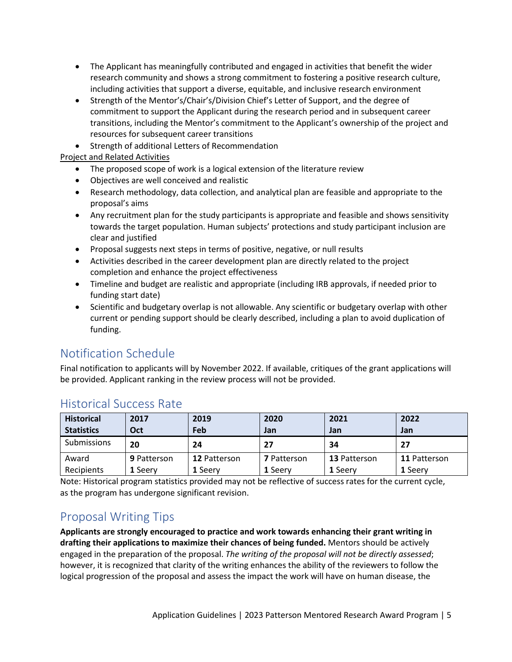- The Applicant has meaningfully contributed and engaged in activities that benefit the wider research community and shows a strong commitment to fostering a positive research culture, including activities that support a diverse, equitable, and inclusive research environment
- Strength of the Mentor's/Chair's/Division Chief's Letter of Support, and the degree of commitment to support the Applicant during the research period and in subsequent career transitions, including the Mentor's commitment to the Applicant's ownership of the project and resources for subsequent career transitions
- Strength of additional Letters of Recommendation

Project and Related Activities

- The proposed scope of work is a logical extension of the literature review
- Objectives are well conceived and realistic
- Research methodology, data collection, and analytical plan are feasible and appropriate to the proposal's aims
- Any recruitment plan for the study participants is appropriate and feasible and shows sensitivity towards the target population. Human subjects' protections and study participant inclusion are clear and justified
- Proposal suggests next steps in terms of positive, negative, or null results
- Activities described in the career development plan are directly related to the project completion and enhance the project effectiveness
- Timeline and budget are realistic and appropriate (including IRB approvals, if needed prior to funding start date)
- Scientific and budgetary overlap is not allowable. Any scientific or budgetary overlap with other current or pending support should be clearly described, including a plan to avoid duplication of funding.

# <span id="page-4-0"></span>Notification Schedule

Final notification to applicants will by November 2022. If available, critiques of the grant applications will be provided. Applicant ranking in the review process will not be provided.

| <b>Historical</b><br><b>Statistics</b> | 2017<br>Oct        | 2019<br>Feb         | 2020<br>Jan        | 2021<br>Jan         | 2022<br>Jan  |
|----------------------------------------|--------------------|---------------------|--------------------|---------------------|--------------|
| Submissions                            | 20                 | 24                  | 27                 | 34                  | 27           |
| Award                                  | <b>9 Patterson</b> | <b>12 Patterson</b> | <b>7</b> Patterson | <b>13 Patterson</b> | 11 Patterson |
| Recipients                             | 1 Seerv            | 1 Seerv             | <b>1 Seerv</b>     | 1 Seerv             | 1 Seerv      |

# <span id="page-4-1"></span>Historical Success Rate

Note: Historical program statistics provided may not be reflective of success rates for the current cycle, as the program has undergone significant revision.

# <span id="page-4-2"></span>Proposal Writing Tips

**Applicants are strongly encouraged to practice and work towards enhancing their grant writing in drafting their applications to maximize their chances of being funded.** Mentors should be actively engaged in the preparation of the proposal. *The writing of the proposal will not be directly assessed*; however, it is recognized that clarity of the writing enhances the ability of the reviewers to follow the logical progression of the proposal and assess the impact the work will have on human disease, the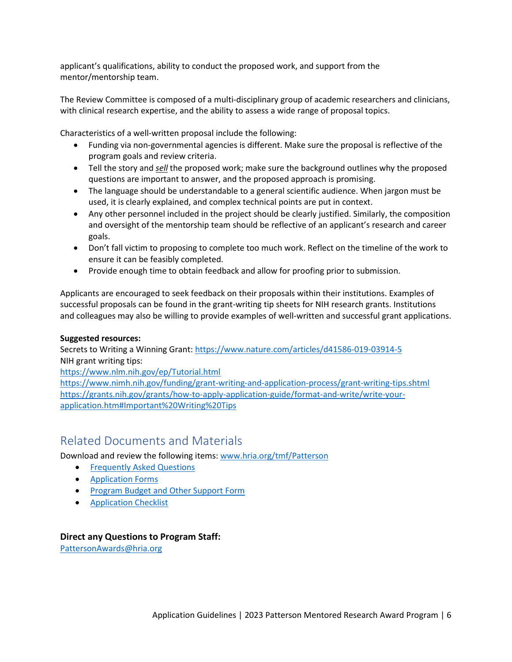applicant's qualifications, ability to conduct the proposed work, and support from the mentor/mentorship team.

The Review Committee is composed of a multi-disciplinary group of academic researchers and clinicians, with clinical research expertise, and the ability to assess a wide range of proposal topics.

Characteristics of a well-written proposal include the following:

- Funding via non-governmental agencies is different. Make sure the proposal is reflective of the program goals and review criteria.
- Tell the story and *sell* the proposed work; make sure the background outlines why the proposed questions are important to answer, and the proposed approach is promising.
- The language should be understandable to a general scientific audience. When jargon must be used, it is clearly explained, and complex technical points are put in context.
- Any other personnel included in the project should be clearly justified. Similarly, the composition and oversight of the mentorship team should be reflective of an applicant's research and career goals.
- Don't fall victim to proposing to complete too much work. Reflect on the timeline of the work to ensure it can be feasibly completed.
- Provide enough time to obtain feedback and allow for proofing prior to submission.

Applicants are encouraged to seek feedback on their proposals within their institutions. Examples of successful proposals can be found in the grant-writing tip sheets for NIH research grants. Institutions and colleagues may also be willing to provide examples of well-written and successful grant applications.

### **Suggested resources:**

Secrets to Writing a Winning Grant:<https://www.nature.com/articles/d41586-019-03914-5> NIH grant writing tips:

<https://www.nlm.nih.gov/ep/Tutorial.html>

<https://www.nimh.nih.gov/funding/grant-writing-and-application-process/grant-writing-tips.shtml> [https://grants.nih.gov/grants/how-to-apply-application-guide/format-and-write/write-your](https://grants.nih.gov/grants/how-to-apply-application-guide/format-and-write/write-your-application.htm#Important%20Writing%20Tips)[application.htm#Important%20Writing%20Tips](https://grants.nih.gov/grants/how-to-apply-application-guide/format-and-write/write-your-application.htm#Important%20Writing%20Tips)

# <span id="page-5-0"></span>Related Documents and Materials

Download and review the following items[: www.hria.org/tmf/Patterson](http://www.hria.org/tmf/Patterson)

- [Frequently Asked Questions](https://hria.org/wp-content/uploads/2021/06/Patterson-Frequently-Asked-Questions-2023-2025.pdf)
- [Application Forms](https://view.officeapps.live.com/op/view.aspx?src=https%3A%2F%2Fhria.org%2Fwp-content%2Fuploads%2F2021%2F06%2FPatterson-Application-Forms-2023-1.docx&wdOrigin=BROWSELINK)
- [Program Budget and Other Support Form](https://view.officeapps.live.com/op/view.aspx?src=https%3A%2F%2Fhria.org%2Fwp-content%2Fuploads%2F2021%2F06%2FPatterson-Program-Budget-and-Other-Support-Form-2.xlsx&wdOrigin=BROWSELINK)
- [Application Checklist](https://hria.org/wp-content/uploads/2021/06/Patterson-Application-Checklist-2023-1.pdf)

### **Direct any Questions to Program Staff:**

[PattersonAwards@hria.org](mailto:PattersonAwards@hria.org)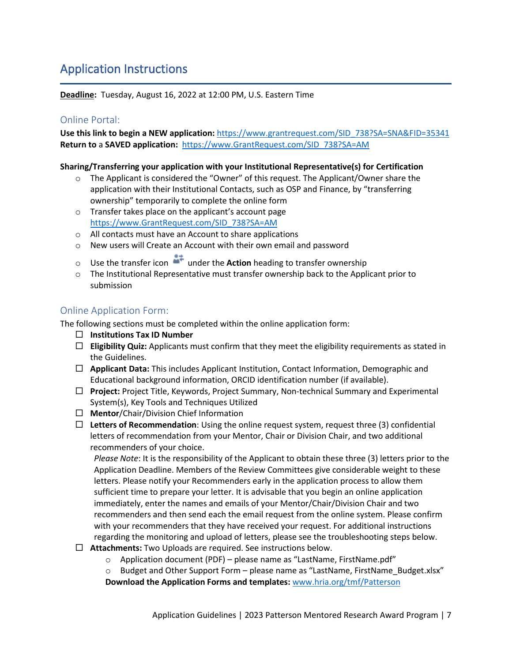# <span id="page-6-0"></span>Application Instructions

**Deadline:** Tuesday, August 16, 2022 at 12:00 PM, U.S. Eastern Time

# Online Portal:

**Use this link to begin a NEW application:** [https://www.grantrequest.com/SID\\_738?SA=SNA&FID=35341](https://www.grantrequest.com/SID_738?SA=SNA&FID=35341) **Return to** a **SAVED application:** [https://www.GrantRequest.com/SID\\_738?SA=AM](https://www.grantrequest.com/SID_738?SA=AM)

### **Sharing/Transferring your application with your Institutional Representative(s) for Certification**

- $\circ$  The Applicant is considered the "Owner" of this request. The Applicant/Owner share the application with their Institutional Contacts, such as OSP and Finance, by "transferring ownership" temporarily to complete the online form
- o Transfer takes place on the applicant's account page [https://www.GrantRequest.com/SID\\_738?SA=AM](https://www.grantrequest.com/SID_738?SA=AM)
- o All contacts must have an Account to share applications
- o New users will Create an Account with their own email and password
- o Use the transfer icon under the **Action** heading to transfer ownership
- $\circ$  The Institutional Representative must transfer ownership back to the Applicant prior to submission

# Online Application Form:

The following sections must be completed within the online application form:

- **Institutions Tax ID Number**
- $\Box$  **Eligibility Quiz:** Applicants must confirm that they meet the eligibility requirements as stated in the Guidelines.
- **Applicant Data:** This includes Applicant Institution, Contact Information, Demographic and Educational background information, ORCID identification number (if available).
- **Project:** Project Title, Keywords, Project Summary, Non-technical Summary and Experimental System(s), Key Tools and Techniques Utilized
- **Mentor**/Chair/Division Chief Information
- **Letters of Recommendation**: Using the online request system, request three (3) confidential letters of recommendation from your Mentor, Chair or Division Chair, and two additional recommenders of your choice.

*Please Note*: It is the responsibility of the Applicant to obtain these three (3) letters prior to the Application Deadline. Members of the Review Committees give considerable weight to these letters. Please notify your Recommenders early in the application process to allow them sufficient time to prepare your letter. It is advisable that you begin an online application immediately, enter the names and emails of your Mentor/Chair/Division Chair and two recommenders and then send each the email request from the online system. Please confirm with your recommenders that they have received your request. For additional instructions regarding the monitoring and upload of letters, please see the troubleshooting steps below.

- **Attachments:** Two Uploads are required. See instructions below.
	- o Application document (PDF) please name as "LastName, FirstName.pdf"
	- $\circ$  Budget and Other Support Form please name as "LastName, FirstName Budget.xlsx"

**Download the Application Forms and templates:** [www.hria.org/tmf/Patterson](http://www.hria.org/tmf/Patterson)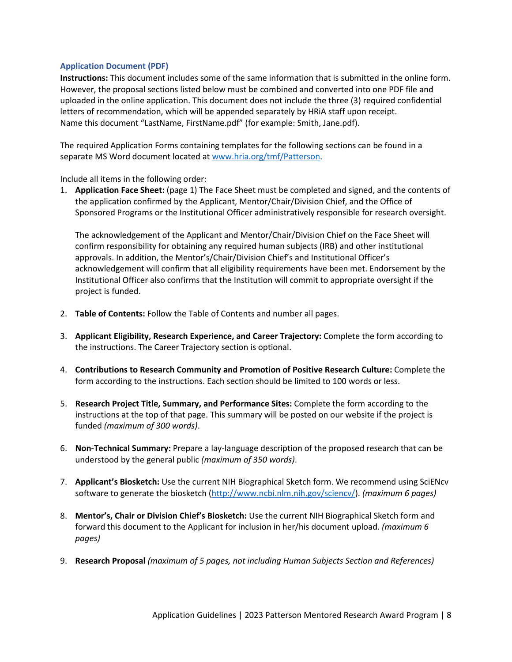#### **Application Document (PDF)**

**Instructions:** This document includes some of the same information that is submitted in the online form. However, the proposal sections listed below must be combined and converted into one PDF file and uploaded in the online application. This document does not include the three (3) required confidential letters of recommendation, which will be appended separately by HRiA staff upon receipt. Name this document "LastName, FirstName.pdf" (for example: Smith, Jane.pdf).

The required Application Forms containing templates for the following sections can be found in a separate MS Word document located a[t www.hria.org/tmf/Patterson.](http://www.hria.org/tmf/Patterson)

Include all items in the following order:

1. **Application Face Sheet:** (page 1) The Face Sheet must be completed and signed, and the contents of the application confirmed by the Applicant, Mentor/Chair/Division Chief, and the Office of Sponsored Programs or the Institutional Officer administratively responsible for research oversight.

The acknowledgement of the Applicant and Mentor/Chair/Division Chief on the Face Sheet will confirm responsibility for obtaining any required human subjects (IRB) and other institutional approvals. In addition, the Mentor's/Chair/Division Chief's and Institutional Officer's acknowledgement will confirm that all eligibility requirements have been met. Endorsement by the Institutional Officer also confirms that the Institution will commit to appropriate oversight if the project is funded.

- 2. **Table of Contents:** Follow the Table of Contents and number all pages.
- 3. **Applicant Eligibility, Research Experience, and Career Trajectory:** Complete the form according to the instructions. The Career Trajectory section is optional.
- 4. **Contributions to Research Community and Promotion of Positive Research Culture:** Complete the form according to the instructions. Each section should be limited to 100 words or less.
- 5. **Research Project Title, Summary, and Performance Sites:** Complete the form according to the instructions at the top of that page. This summary will be posted on our website if the project is funded *(maximum of 300 words)*.
- 6. **Non-Technical Summary:** Prepare a lay-language description of the proposed research that can be understood by the general public *(maximum of 350 words)*.
- 7. **Applicant's Biosketch:** Use the current NIH Biographical Sketch form. We recommend using SciENcv software to generate the biosketch [\(http://www.ncbi.nlm.nih.gov/sciencv/\)](http://www.ncbi.nlm.nih.gov/sciencv/). *(maximum 6 pages)*
- 8. **Mentor's, Chair or Division Chief's Biosketch:** Use the current NIH Biographical Sketch form and forward this document to the Applicant for inclusion in her/his document upload. *(maximum 6 pages)*
- 9. **Research Proposal** *(maximum of 5 pages, not including Human Subjects Section and References)*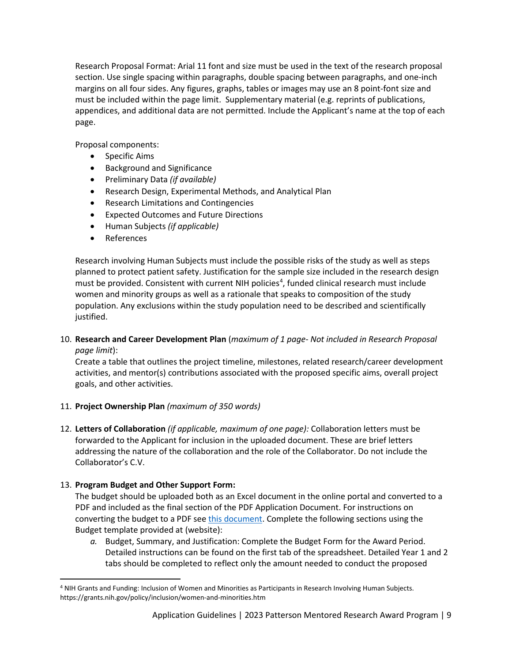Research Proposal Format: Arial 11 font and size must be used in the text of the research proposal section. Use single spacing within paragraphs, double spacing between paragraphs, and one-inch margins on all four sides. Any figures, graphs, tables or images may use an 8 point-font size and must be included within the page limit. Supplementary material (e.g. reprints of publications, appendices, and additional data are not permitted. Include the Applicant's name at the top of each page.

Proposal components:

- Specific Aims
- Background and Significance
- Preliminary Data *(if available)*
- Research Design, Experimental Methods, and Analytical Plan
- Research Limitations and Contingencies
- Expected Outcomes and Future Directions
- Human Subjects *(if applicable)*
- References

Research involving Human Subjects must include the possible risks of the study as well as steps planned to protect patient safety. Justification for the sample size included in the research design must be provided. Consistent with current NIH policies<sup>[4](#page-8-0)</sup>, funded clinical research must include women and minority groups as well as a rationale that speaks to composition of the study population. Any exclusions within the study population need to be described and scientifically justified.

### 10. **Research and Career Development Plan** (*maximum of 1 page- Not included in Research Proposal page limit*):

Create a table that outlines the project timeline, milestones, related research/career development activities, and mentor(s) contributions associated with the proposed specific aims, overall project goals, and other activities.

### 11. **Project Ownership Plan** *(maximum of 350 words)*

12. **Letters of Collaboration** *(if applicable, maximum of one page):* Collaboration letters must be forwarded to the Applicant for inclusion in the uploaded document. These are brief letters addressing the nature of the collaboration and the role of the Collaborator. Do not include the Collaborator's C.V.

### 13. **Program Budget and Other Support Form:**

The budget should be uploaded both as an Excel document in the online portal and converted to a PDF and included as the final section of the PDF Application Document. For instructions on converting the budget to a PDF see [this document.](https://hria.org/wp-content/uploads/2021/06/Merging-Budgets-to-Proposals-Applicant-Instructions.pdf) Complete the following sections using the Budget template provided at (website):

*a.* Budget, Summary, and Justification: Complete the Budget Form for the Award Period. Detailed instructions can be found on the first tab of the spreadsheet. Detailed Year 1 and 2 tabs should be completed to reflect only the amount needed to conduct the proposed

<span id="page-8-0"></span><sup>4</sup> NIH Grants and Funding: Inclusion of Women and Minorities as Participants in Research Involving Human Subjects. https://grants.nih.gov/policy/inclusion/women-and-minorities.htm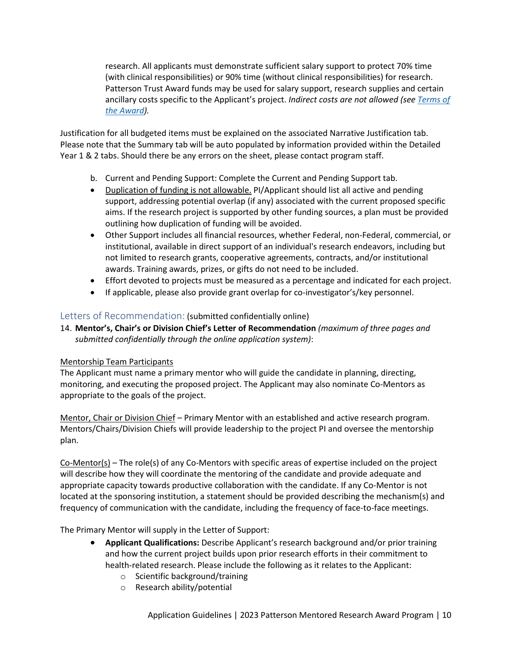research. All applicants must demonstrate sufficient salary support to protect 70% time (with clinical responsibilities) or 90% time (without clinical responsibilities) for research. Patterson Trust Award funds may be used for salary support, research supplies and certain ancillary costs specific to the Applicant's project. *Indirect costs are not allowed (se[e Terms of](#page-13-0)  [the Award\)](#page-13-0).*

Justification for all budgeted items must be explained on the associated Narrative Justification tab. Please note that the Summary tab will be auto populated by information provided within the Detailed Year 1 & 2 tabs. Should there be any errors on the sheet, please contact program staff.

- b. Current and Pending Support: Complete the Current and Pending Support tab.
- Duplication of funding is not allowable. PI/Applicant should list all active and pending support, addressing potential overlap (if any) associated with the current proposed specific aims. If the research project is supported by other funding sources, a plan must be provided outlining how duplication of funding will be avoided.
- Other Support includes all financial resources, whether Federal, non-Federal, commercial, or institutional, available in direct support of an individual's research endeavors, including but not limited to research grants, cooperative agreements, contracts, and/or institutional awards. Training awards, prizes, or gifts do not need to be included.
- Effort devoted to projects must be measured as a percentage and indicated for each project.
- If applicable, please also provide grant overlap for co-investigator's/key personnel.

# Letters of Recommendation: (submitted confidentially online)

14. **Mentor's, Chair's or Division Chief's Letter of Recommendation** *(maximum of three pages and submitted confidentially through the online application system)*:

### Mentorship Team Participants

The Applicant must name a primary mentor who will guide the candidate in planning, directing, monitoring, and executing the proposed project. The Applicant may also nominate Co-Mentors as appropriate to the goals of the project.

Mentor, Chair or Division Chief – Primary Mentor with an established and active research program. Mentors/Chairs/Division Chiefs will provide leadership to the project PI and oversee the mentorship plan.

Co-Mentor(s) – The role(s) of any Co-Mentors with specific areas of expertise included on the project will describe how they will coordinate the mentoring of the candidate and provide adequate and appropriate capacity towards productive collaboration with the candidate. If any Co-Mentor is not located at the sponsoring institution, a statement should be provided describing the mechanism(s) and frequency of communication with the candidate, including the frequency of face-to-face meetings.

The Primary Mentor will supply in the Letter of Support:

- **Applicant Qualifications:** Describe Applicant's research background and/or prior training and how the current project builds upon prior research efforts in their commitment to health-related research. Please include the following as it relates to the Applicant:
	- o Scientific background/training
	- o Research ability/potential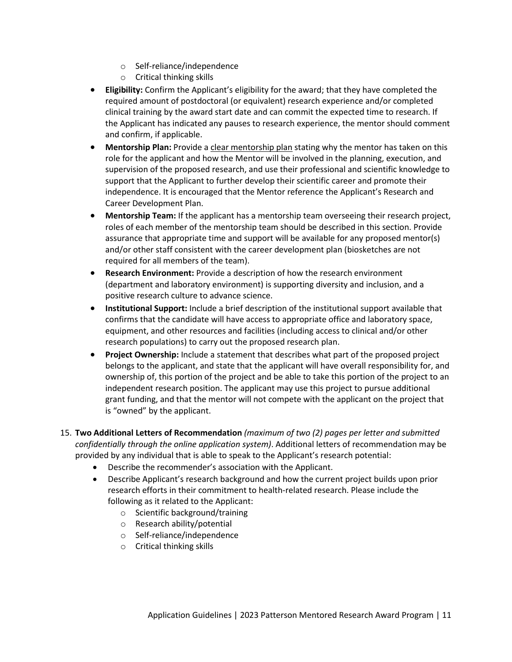- o Self-reliance/independence
- o Critical thinking skills
- **Eligibility:** Confirm the Applicant's eligibility for the award; that they have completed the required amount of postdoctoral (or equivalent) research experience and/or completed clinical training by the award start date and can commit the expected time to research. If the Applicant has indicated any pauses to research experience, the mentor should comment and confirm, if applicable.
- **Mentorship Plan:** Provide a clear mentorship plan stating why the mentor has taken on this role for the applicant and how the Mentor will be involved in the planning, execution, and supervision of the proposed research, and use their professional and scientific knowledge to support that the Applicant to further develop their scientific career and promote their independence. It is encouraged that the Mentor reference the Applicant's Research and Career Development Plan.
- **Mentorship Team:** If the applicant has a mentorship team overseeing their research project, roles of each member of the mentorship team should be described in this section. Provide assurance that appropriate time and support will be available for any proposed mentor(s) and/or other staff consistent with the career development plan (biosketches are not required for all members of the team).
- **Research Environment:** Provide a description of how the research environment (department and laboratory environment) is supporting diversity and inclusion, and a positive research culture to advance science.
- **Institutional Support:** Include a brief description of the institutional support available that confirms that the candidate will have access to appropriate office and laboratory space, equipment, and other resources and facilities (including access to clinical and/or other research populations) to carry out the proposed research plan.
- **Project Ownership:** Include a statement that describes what part of the proposed project belongs to the applicant, and state that the applicant will have overall responsibility for, and ownership of, this portion of the project and be able to take this portion of the project to an independent research position. The applicant may use this project to pursue additional grant funding, and that the mentor will not compete with the applicant on the project that is "owned" by the applicant.
- 15. **Two Additional Letters of Recommendation** *(maximum of two (2) pages per letter and submitted confidentially through the online application system)*. Additional letters of recommendation may be provided by any individual that is able to speak to the Applicant's research potential:
	- Describe the recommender's association with the Applicant.
	- Describe Applicant's research background and how the current project builds upon prior research efforts in their commitment to health-related research. Please include the following as it related to the Applicant:
		- o Scientific background/training
		- o Research ability/potential
		- o Self-reliance/independence
		- o Critical thinking skills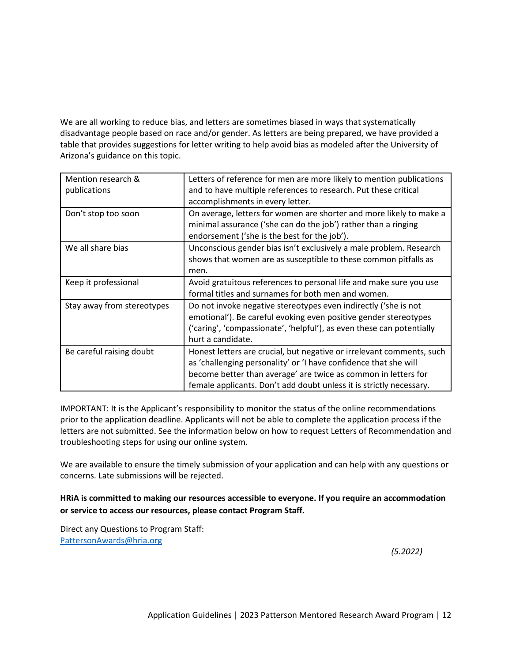We are all working to reduce bias, and letters are sometimes biased in ways that systematically disadvantage people based on race and/or gender. As letters are being prepared, we have provided a table that provides suggestions for letter writing to help avoid bias as modeled after the University of Arizona's guidance on this topic.

| Mention research &<br>publications | Letters of reference for men are more likely to mention publications<br>and to have multiple references to research. Put these critical<br>accomplishments in every letter.                                                                                                        |
|------------------------------------|------------------------------------------------------------------------------------------------------------------------------------------------------------------------------------------------------------------------------------------------------------------------------------|
| Don't stop too soon                | On average, letters for women are shorter and more likely to make a<br>minimal assurance ('she can do the job') rather than a ringing<br>endorsement ('she is the best for the job').                                                                                              |
| We all share bias                  | Unconscious gender bias isn't exclusively a male problem. Research<br>shows that women are as susceptible to these common pitfalls as<br>men.                                                                                                                                      |
| Keep it professional               | Avoid gratuitous references to personal life and make sure you use<br>formal titles and surnames for both men and women.                                                                                                                                                           |
| Stay away from stereotypes         | Do not invoke negative stereotypes even indirectly ('she is not<br>emotional'). Be careful evoking even positive gender stereotypes<br>('caring', 'compassionate', 'helpful'), as even these can potentially<br>hurt a candidate.                                                  |
| Be careful raising doubt           | Honest letters are crucial, but negative or irrelevant comments, such<br>as 'challenging personality' or 'I have confidence that she will<br>become better than average' are twice as common in letters for<br>female applicants. Don't add doubt unless it is strictly necessary. |

IMPORTANT: It is the Applicant's responsibility to monitor the status of the online recommendations prior to the application deadline. Applicants will not be able to complete the application process if the letters are not submitted. See the information below on how to request Letters of Recommendation and troubleshooting steps for using our online system.

We are available to ensure the timely submission of your application and can help with any questions or concerns. Late submissions will be rejected.

# **HRiA is committed to making our resources accessible to everyone. If you require an accommodation or service to access our resources, please contact Program Staff.**

Direct any Questions to Program Staff: [PattersonAwards@hria.org](mailto:PattersonAwards@hria.org)

*(5.2022)*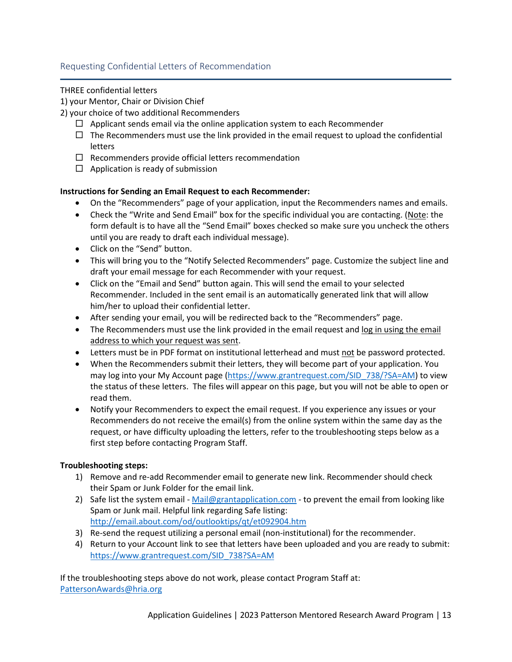# Requesting Confidential Letters of Recommendation

### THREE confidential letters

1) your Mentor, Chair or Division Chief

- 2) your choice of two additional Recommenders
	- $\Box$  Applicant sends email via the online application system to each Recommender
	- $\Box$  The Recommenders must use the link provided in the email request to upload the confidential letters
	- $\Box$  Recommenders provide official letters recommendation
	- $\Box$  Application is ready of submission

### **Instructions for Sending an Email Request to each Recommender:**

- On the "Recommenders" page of your application, input the Recommenders names and emails.
- Check the "Write and Send Email" box for the specific individual you are contacting. (Note: the form default is to have all the "Send Email" boxes checked so make sure you uncheck the others until you are ready to draft each individual message).
- Click on the "Send" button.
- This will bring you to the "Notify Selected Recommenders" page. Customize the subject line and draft your email message for each Recommender with your request.
- Click on the "Email and Send" button again. This will send the email to your selected Recommender. Included in the sent email is an automatically generated link that will allow him/her to upload their confidential letter.
- After sending your email, you will be redirected back to the "Recommenders" page.
- The Recommenders must use the link provided in the email request and log in using the email address to which your request was sent.
- Letters must be in PDF format on institutional letterhead and must not be password protected.
- When the Recommenders submit their letters, they will become part of your application. You may log into your My Account page [\(https://www.grantrequest.com/SID\\_738/?SA=AM\)](https://www.grantrequest.com/SID_738/?SA=AM) to view the status of these letters. The files will appear on this page, but you will not be able to open or read them.
- Notify your Recommenders to expect the email request. If you experience any issues or your Recommenders do not receive the email(s) from the online system within the same day as the request, or have difficulty uploading the letters, refer to the troubleshooting steps below as a first step before contacting Program Staff.

### **Troubleshooting steps:**

- 1) Remove and re-add Recommender email to generate new link. Recommender should check their Spam or Junk Folder for the email link.
- 2) Safe list the system email [Mail@grantapplication.com](mailto:Mail@grantapplication.com) to prevent the email from looking like Spam or Junk mail. Helpful link regarding Safe listing: <http://email.about.com/od/outlooktips/qt/et092904.htm>
- 3) Re-send the request utilizing a personal email (non-institutional) for the recommender.
- 4) Return to your Account link to see that letters have been uploaded and you are ready to submit: [https://www.grantrequest.com/SID\\_738?SA=AM](https://www.grantrequest.com/SID_738?SA=AM)

If the troubleshooting steps above do not work, please contact Program Staff at: [PattersonAwards@hria.org](mailto:PattersonAwards@hria.org)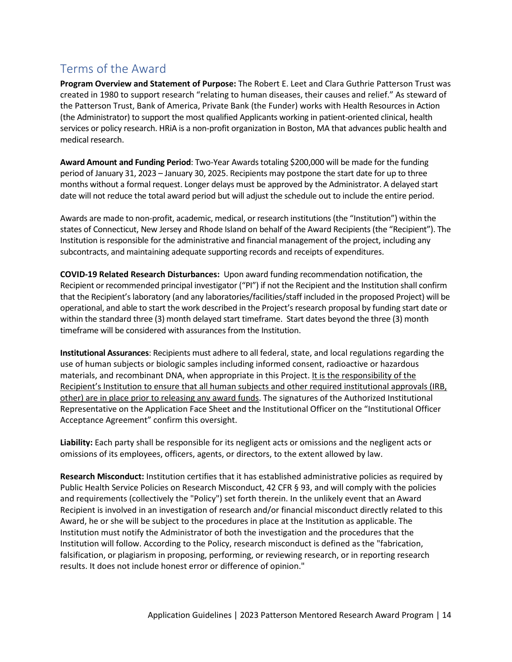# <span id="page-13-0"></span>Terms of the Award

**Program Overview and Statement of Purpose:** The Robert E. Leet and Clara Guthrie Patterson Trust was created in 1980 to support research "relating to human diseases, their causes and relief." As steward of the Patterson Trust, Bank of America, Private Bank (the Funder) works with Health Resources in Action (the Administrator) to support the most qualified Applicants working in patient-oriented clinical, health services or policy research. HRiA is a non-profit organization in Boston, MA that advances public health and medical research.

**Award Amount and Funding Period**: Two-Year Awards totaling \$200,000 will be made for the funding period of January 31, 2023 – January 30, 2025. Recipients may postpone the start date for up to three months without a formal request. Longer delays must be approved by the Administrator. A delayed start date will not reduce the total award period but will adjust the schedule out to include the entire period.

Awards are made to non-profit, academic, medical, or research institutions (the "Institution") within the states of Connecticut, New Jersey and Rhode Island on behalf of the Award Recipients (the "Recipient"). The Institution is responsible for the administrative and financial management of the project, including any subcontracts, and maintaining adequate supporting records and receipts of expenditures.

**COVID-19 Related Research Disturbances:** Upon award funding recommendation notification, the Recipient or recommended principal investigator ("PI") if not the Recipient and the Institution shall confirm that the Recipient's laboratory (and any laboratories/facilities/staff included in the proposed Project) will be operational, and able to start the work described in the Project's research proposal by funding start date or within the standard three (3) month delayed start timeframe. Start dates beyond the three (3) month timeframe will be considered with assurances from the Institution.

**Institutional Assurances**: Recipients must adhere to all federal, state, and local regulations regarding the use of human subjects or biologic samples including informed consent, radioactive or hazardous materials, and recombinant DNA, when appropriate in this Project. It is the responsibility of the Recipient's Institution to ensure that all human subjects and other required institutional approvals (IRB, other) are in place prior to releasing any award funds. The signatures of the Authorized Institutional Representative on the Application Face Sheet and the Institutional Officer on the "Institutional Officer Acceptance Agreement" confirm this oversight.

**Liability:** Each party shall be responsible for its negligent acts or omissions and the negligent acts or omissions of its employees, officers, agents, or directors, to the extent allowed by law.

**Research Misconduct:** Institution certifies that it has established administrative policies as required by Public Health Service Policies on Research Misconduct, 42 CFR § 93, and will comply with the policies and requirements (collectively the "Policy") set forth therein. In the unlikely event that an Award Recipient is involved in an investigation of research and/or financial misconduct directly related to this Award, he or she will be subject to the procedures in place at the Institution as applicable. The Institution must notify the Administrator of both the investigation and the procedures that the Institution will follow. According to the Policy, research misconduct is defined as the "fabrication, falsification, or plagiarism in proposing, performing, or reviewing research, or in reporting research results. It does not include honest error or difference of opinion."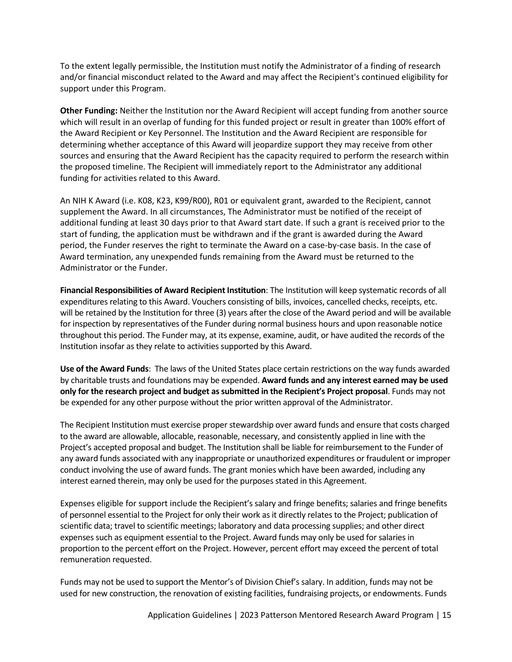To the extent legally permissible, the Institution must notify the Administrator of a finding of research and/or financial misconduct related to the Award and may affect the Recipient's continued eligibility for support under this Program.

**Other Funding:** Neither the Institution nor the Award Recipient will accept funding from another source which will result in an overlap of funding for this funded project or result in greater than 100% effort of the Award Recipient or Key Personnel. The Institution and the Award Recipient are responsible for determining whether acceptance of this Award will jeopardize support they may receive from other sources and ensuring that the Award Recipient has the capacity required to perform the research within the proposed timeline. The Recipient will immediately report to the Administrator any additional funding for activities related to this Award.

An NIH K Award (i.e. K08, K23, K99/R00), R01 or equivalent grant, awarded to the Recipient, cannot supplement the Award. In all circumstances, The Administrator must be notified of the receipt of additional funding at least 30 days prior to that Award start date. If such a grant is received prior to the start of funding, the application must be withdrawn and if the grant is awarded during the Award period, the Funder reserves the right to terminate the Award on a case-by-case basis. In the case of Award termination, any unexpended funds remaining from the Award must be returned to the Administrator or the Funder.

**Financial Responsibilities of Award Recipient Institution**: The Institution will keep systematic records of all expenditures relating to this Award. Vouchers consisting of bills, invoices, cancelled checks, receipts, etc. will be retained by the Institution for three (3) years after the close of the Award period and will be available for inspection by representatives of the Funder during normal business hours and upon reasonable notice throughout this period. The Funder may, at its expense, examine, audit, or have audited the records of the Institution insofar as they relate to activities supported by this Award.

**Use of the Award Funds**: The laws of the United States place certain restrictions on the way funds awarded by charitable trusts and foundations may be expended. **Award funds and any interest earned may be used only for the research project and budget as submitted in the Recipient's Project proposal**. Funds may not be expended for any other purpose without the prior written approval of the Administrator.

The Recipient Institution must exercise proper stewardship over award funds and ensure that costs charged to the award are allowable, allocable, reasonable, necessary, and consistently applied in line with the Project's accepted proposal and budget. The Institution shall be liable for reimbursement to the Funder of any award funds associated with any inappropriate or unauthorized expenditures or fraudulent or improper conduct involving the use of award funds. The grant monies which have been awarded, including any interest earned therein, may only be used for the purposes stated in this Agreement.

Expenses eligible for support include the Recipient's salary and fringe benefits; salaries and fringe benefits of personnel essential to the Project for only their work as it directly relates to the Project; publication of scientific data; travel to scientific meetings; laboratory and data processing supplies; and other direct expenses such as equipment essential to the Project. Award funds may only be used for salaries in proportion to the percent effort on the Project. However, percent effort may exceed the percent of total remuneration requested.

Funds may not be used to support the Mentor's of Division Chief's salary. In addition, funds may not be used for new construction, the renovation of existing facilities, fundraising projects, or endowments. Funds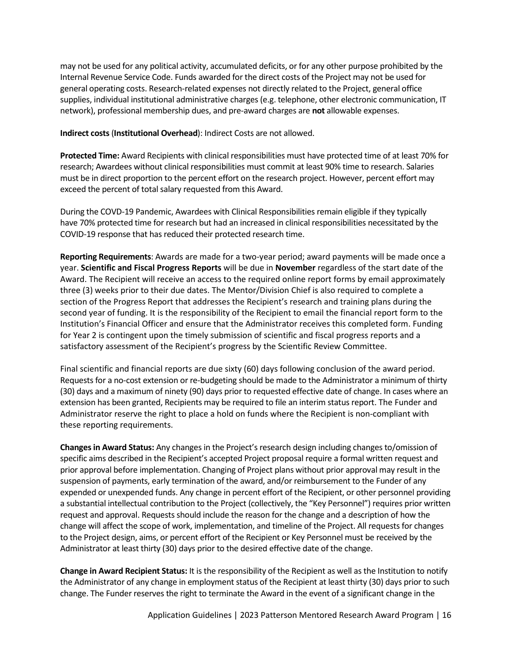may not be used for any political activity, accumulated deficits, or for any other purpose prohibited by the Internal Revenue Service Code. Funds awarded for the direct costs of the Project may not be used for general operating costs. Research-related expenses not directly related to the Project, general office supplies, individual institutional administrative charges (e.g. telephone, other electronic communication, IT network), professional membership dues, and pre-award charges are **not** allowable expenses.

**Indirect costs**(**Institutional Overhead**): Indirect Costs are not allowed.

**Protected Time:** Award Recipients with clinical responsibilities must have protected time of at least 70% for research; Awardees without clinical responsibilities must commit at least 90% time to research. Salaries must be in direct proportion to the percent effort on the research project. However, percent effort may exceed the percent of total salary requested from this Award.

During the COVD-19 Pandemic, Awardees with Clinical Responsibilities remain eligible if they typically have 70% protected time for research but had an increased in clinical responsibilities necessitated by the COVID-19 response that has reduced their protected research time.

**Reporting Requirements**: Awards are made for a two-year period; award payments will be made once a year. **Scientific and Fiscal Progress Reports** will be due in **November** regardless of the start date of the Award. The Recipient will receive an access to the required online report forms by email approximately three (3) weeks prior to their due dates. The Mentor/Division Chief is also required to complete a section of the Progress Report that addresses the Recipient's research and training plans during the second year of funding. It is the responsibility of the Recipient to email the financial report form to the Institution's Financial Officer and ensure that the Administrator receives this completed form. Funding for Year 2 is contingent upon the timely submission of scientific and fiscal progress reports and a satisfactory assessment of the Recipient's progress by the Scientific Review Committee.

Final scientific and financial reports are due sixty (60) days following conclusion of the award period. Requests for a no-cost extension or re-budgeting should be made to the Administrator a minimum of thirty (30) days and a maximum of ninety (90) days prior to requested effective date of change. In cases where an extension has been granted, Recipients may be required to file an interim status report. The Funder and Administrator reserve the right to place a hold on funds where the Recipient is non-compliant with these reporting requirements.

**Changes in Award Status:** Any changes in the Project's research design including changes to/omission of specific aims described in the Recipient's accepted Project proposal require a formal written request and prior approval before implementation. Changing of Project plans without prior approval may result in the suspension of payments, early termination of the award, and/or reimbursement to the Funder of any expended or unexpended funds. Any change in percent effort of the Recipient, or other personnel providing a substantial intellectual contribution to the Project (collectively, the "Key Personnel") requires prior written request and approval. Requests should include the reason for the change and a description of how the change will affect the scope of work, implementation, and timeline of the Project. All requests for changes to the Project design, aims, or percent effort of the Recipient or Key Personnel must be received by the Administrator at least thirty (30) days prior to the desired effective date of the change.

**Change in Award Recipient Status:** It is the responsibility of the Recipient as well as the Institution to notify the Administrator of any change in employment status of the Recipient at least thirty (30) days prior to such change. The Funder reserves the right to terminate the Award in the event of a significant change in the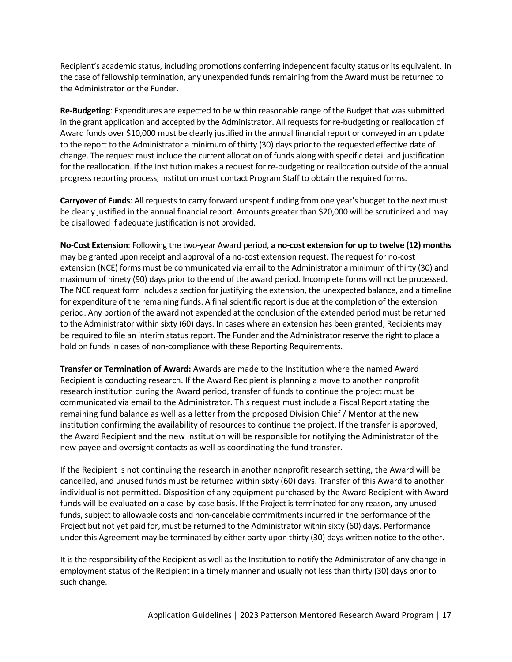Recipient's academic status, including promotions conferring independent faculty status or its equivalent. In the case of fellowship termination, any unexpended funds remaining from the Award must be returned to the Administrator or the Funder.

**Re-Budgeting**: Expenditures are expected to be within reasonable range of the Budget that was submitted in the grant application and accepted by the Administrator. All requests for re-budgeting or reallocation of Award funds over \$10,000 must be clearly justified in the annual financial report or conveyed in an update to the report to the Administrator a minimum of thirty (30) days prior to the requested effective date of change. The request must include the current allocation of funds along with specific detail and justification for the reallocation. If the Institution makes a request for re-budgeting or reallocation outside of the annual progress reporting process, Institution must contact Program Staff to obtain the required forms.

**Carryover of Funds**: All requests to carry forward unspent funding from one year's budget to the next must be clearly justified in the annual financial report. Amounts greater than \$20,000 will be scrutinized and may be disallowed if adequate justification is not provided.

**No-Cost Extension**: Following the two-year Award period, **a no-cost extension for up to twelve (12) months**  may be granted upon receipt and approval of a no-cost extension request. The request for no-cost extension (NCE) forms must be communicated via email to the Administrator a minimum of thirty (30) and maximum of ninety (90) days prior to the end of the award period. Incomplete forms will not be processed. The NCE request form includes a section for justifying the extension, the unexpected balance, and a timeline for expenditure of the remaining funds. A final scientific report is due at the completion of the extension period. Any portion of the award not expended at the conclusion of the extended period must be returned to the Administrator within sixty (60) days. In cases where an extension has been granted, Recipients may be required to file an interim status report. The Funder and the Administrator reserve the right to place a hold on funds in cases of non-compliance with these Reporting Requirements.

**Transfer or Termination of Award:** Awards are made to the Institution where the named Award Recipient is conducting research. If the Award Recipient is planning a move to another nonprofit research institution during the Award period, transfer of funds to continue the project must be communicated via email to the Administrator. This request must include a Fiscal Report stating the remaining fund balance as well as a letter from the proposed Division Chief / Mentor at the new institution confirming the availability of resources to continue the project. If the transfer is approved, the Award Recipient and the new Institution will be responsible for notifying the Administrator of the new payee and oversight contacts as well as coordinating the fund transfer.

If the Recipient is not continuing the research in another nonprofit research setting, the Award will be cancelled, and unused funds must be returned within sixty (60) days. Transfer of this Award to another individual is not permitted. Disposition of any equipment purchased by the Award Recipient with Award funds will be evaluated on a case-by-case basis. If the Project is terminated for any reason, any unused funds, subject to allowable costs and non-cancelable commitments incurred in the performance of the Project but not yet paid for, must be returned to the Administrator within sixty (60) days. Performance under this Agreement may be terminated by either party upon thirty (30) days written notice to the other.

It is the responsibility of the Recipient as well as the Institution to notify the Administrator of any change in employment status of the Recipient in a timely manner and usually not less than thirty (30) days prior to such change.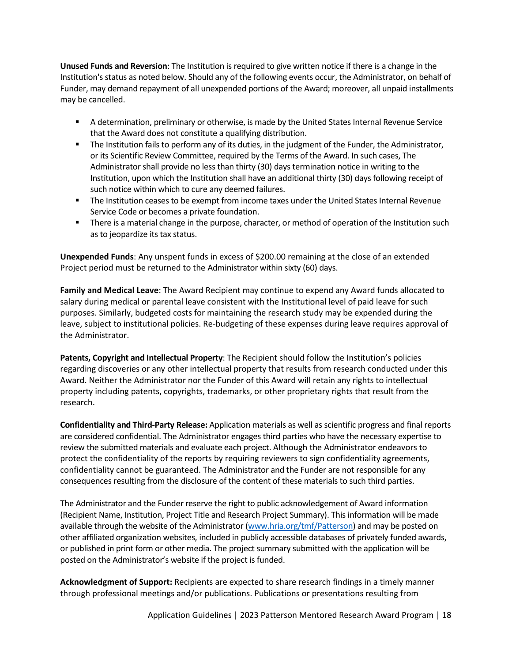**Unused Funds and Reversion**: The Institution is required to give written notice if there is a change in the Institution's status as noted below. Should any of the following events occur, the Administrator, on behalf of Funder, may demand repayment of all unexpended portions of the Award; moreover, all unpaid installments may be cancelled.

- A determination, preliminary or otherwise, is made by the United States Internal Revenue Service that the Award does not constitute a qualifying distribution.
- The Institution fails to perform any of its duties, in the judgment of the Funder, the Administrator, or its Scientific Review Committee, required by the Terms of the Award. In such cases, The Administrator shall provide no less than thirty (30) days termination notice in writing to the Institution, upon which the Institution shall have an additional thirty (30) days following receipt of such notice within which to cure any deemed failures.
- **The Institution ceases to be exempt from income taxes under the United States Internal Revenue** Service Code or becomes a private foundation.
- **There is a material change in the purpose, character, or method of operation of the Institution such** as to jeopardize its tax status.

**Unexpended Funds**: Any unspent funds in excess of \$200.00 remaining at the close of an extended Project period must be returned to the Administrator within sixty (60) days.

**Family and Medical Leave**: The Award Recipient may continue to expend any Award funds allocated to salary during medical or parental leave consistent with the Institutional level of paid leave for such purposes. Similarly, budgeted costs for maintaining the research study may be expended during the leave, subject to institutional policies. Re-budgeting of these expenses during leave requires approval of the Administrator.

**Patents, Copyright and Intellectual Property**: The Recipient should follow the Institution's policies regarding discoveries or any other intellectual property that results from research conducted under this Award. Neither the Administrator nor the Funder of this Award will retain any rights to intellectual property including patents, copyrights, trademarks, or other proprietary rights that result from the research.

**Confidentiality and Third-Party Release:** Application materials as well as scientific progress and final reports are considered confidential. The Administrator engages third parties who have the necessary expertise to review the submitted materials and evaluate each project. Although the Administrator endeavors to protect the confidentiality of the reports by requiring reviewers to sign confidentiality agreements, confidentiality cannot be guaranteed. The Administrator and the Funder are not responsible for any consequences resulting from the disclosure of the content of these materials to such third parties.

The Administrator and the Funder reserve the right to public acknowledgement of Award information (Recipient Name, Institution, Project Title and Research Project Summary). This information will be made available through the website of the Administrator [\(www.hria.org/tmf/Patterson\)](http://www.hria.org/tmf/Patterson) and may be posted on other affiliated organization websites, included in publicly accessible databases of privately funded awards, or published in print form or other media. The project summary submitted with the application will be posted on the Administrator's website if the project is funded.

**Acknowledgment of Support:** Recipients are expected to share research findings in a timely manner through professional meetings and/or publications. Publications or presentations resulting from